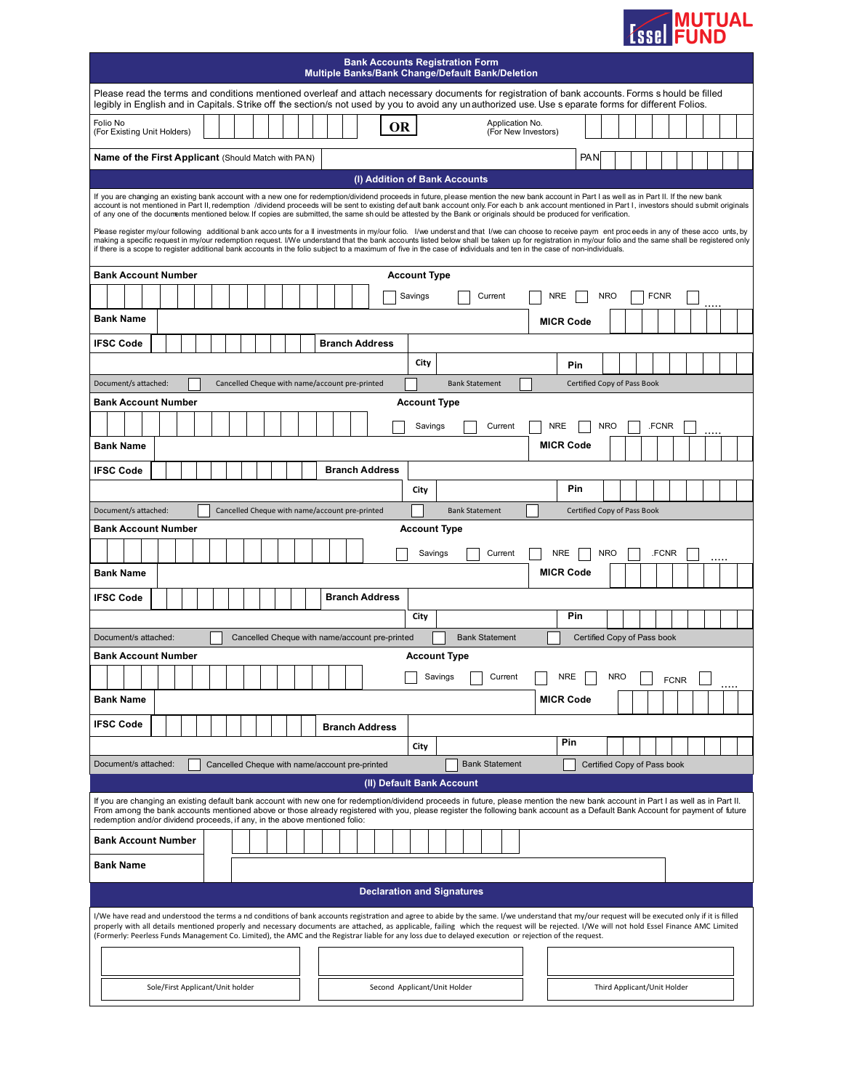| <b>Example 18 MUTUAL</b> |
|--------------------------|
|                          |

| <b>Bank Accounts Registration Form</b><br><b>Multiple Banks/Bank Change/Default Bank/Deletion</b>                                                                                                                                                                                                                                                                                                                                                                                                                                                                                |  |  |  |  |
|----------------------------------------------------------------------------------------------------------------------------------------------------------------------------------------------------------------------------------------------------------------------------------------------------------------------------------------------------------------------------------------------------------------------------------------------------------------------------------------------------------------------------------------------------------------------------------|--|--|--|--|
| Please read the terms and conditions mentioned overleaf and attach necessary documents for registration of bank accounts. Forms s hould be filled<br>legibly in English and in Capitals. Strike off the section/s not used by you to avoid any unauthorized use. Use s eparate forms for different Folios.                                                                                                                                                                                                                                                                       |  |  |  |  |
| Folio No<br>Application No.<br>OR<br>(For Existing Unit Holders)<br>(For New Investors)                                                                                                                                                                                                                                                                                                                                                                                                                                                                                          |  |  |  |  |
| <b>PAN</b><br><b>Name of the First Applicant (Should Match with PAN)</b>                                                                                                                                                                                                                                                                                                                                                                                                                                                                                                         |  |  |  |  |
| (I) Addition of Bank Accounts                                                                                                                                                                                                                                                                                                                                                                                                                                                                                                                                                    |  |  |  |  |
| If you are changing an existing bank account with a new one for redemption/dividend proceeds in future, please mention the new bank account in Part I as well as in Part II. If the new bank<br>account is not mentioned in Part II, redemption /dividend proceeds will be sent to existing default bank account only. For each b ank account mentioned in Part I, investors should submit originals<br>of any one of the documents mentioned below. If copies are submitted, the same should be attested by the Bank or originals should be produced for verification.          |  |  |  |  |
| Please register my/our following additional bank accounts for a Il investments in my/our folio. I/we underst and that I/we can choose to receive paym ent proceeds in any of these accounts, by<br>making a specific request in my/our redemption request. I/We understand that the bank accounts listed below shall be taken up for registration in my/our folio and the same shall be registered only<br>if there is a scope to register additional bank accounts in the folio subject to a maximum of five in the case of individuals and ten in the case of non-individuals. |  |  |  |  |
| <b>Bank Account Number</b><br><b>Account Type</b>                                                                                                                                                                                                                                                                                                                                                                                                                                                                                                                                |  |  |  |  |
| <b>NRE</b><br>Current<br><b>NRO</b><br><b>FCNR</b><br>Savings                                                                                                                                                                                                                                                                                                                                                                                                                                                                                                                    |  |  |  |  |
| <b>Bank Name</b><br><b>MICR Code</b>                                                                                                                                                                                                                                                                                                                                                                                                                                                                                                                                             |  |  |  |  |
| <b>Branch Address</b><br><b>IFSC Code</b>                                                                                                                                                                                                                                                                                                                                                                                                                                                                                                                                        |  |  |  |  |
| City<br>Pin                                                                                                                                                                                                                                                                                                                                                                                                                                                                                                                                                                      |  |  |  |  |
| Document/s attached:<br>Cancelled Cheque with name/account pre-printed<br><b>Bank Statement</b><br>Certified Copy of Pass Book                                                                                                                                                                                                                                                                                                                                                                                                                                                   |  |  |  |  |
| <b>Bank Account Number</b><br><b>Account Type</b>                                                                                                                                                                                                                                                                                                                                                                                                                                                                                                                                |  |  |  |  |
| <b>NRE</b><br><b>NRO</b><br>.FCNR<br>Current<br>Savings                                                                                                                                                                                                                                                                                                                                                                                                                                                                                                                          |  |  |  |  |
| <b>MICR Code</b><br><b>Bank Name</b>                                                                                                                                                                                                                                                                                                                                                                                                                                                                                                                                             |  |  |  |  |
| <b>IFSC Code</b><br><b>Branch Address</b>                                                                                                                                                                                                                                                                                                                                                                                                                                                                                                                                        |  |  |  |  |
| Pin<br>City                                                                                                                                                                                                                                                                                                                                                                                                                                                                                                                                                                      |  |  |  |  |
| Document/s attached:<br><b>Bank Statement</b><br>Cancelled Cheque with name/account pre-printed<br>Certified Copy of Pass Book                                                                                                                                                                                                                                                                                                                                                                                                                                                   |  |  |  |  |
| <b>Bank Account Number</b><br><b>Account Type</b>                                                                                                                                                                                                                                                                                                                                                                                                                                                                                                                                |  |  |  |  |
| Current<br><b>NRE</b><br><b>NRO</b><br>.FCNR<br>Savings<br><b>MICR Code</b><br><b>Bank Name</b>                                                                                                                                                                                                                                                                                                                                                                                                                                                                                  |  |  |  |  |
| <b>Branch Address</b>                                                                                                                                                                                                                                                                                                                                                                                                                                                                                                                                                            |  |  |  |  |
| <b>IFSC Code</b><br>Pin<br>City                                                                                                                                                                                                                                                                                                                                                                                                                                                                                                                                                  |  |  |  |  |
| <b>Bank Statement</b><br>Document/s attached:<br>Cancelled Cheque with name/account pre-printed<br>Certified Copy of Pass book                                                                                                                                                                                                                                                                                                                                                                                                                                                   |  |  |  |  |
| <b>Bank Account Number</b><br><b>Account Type</b>                                                                                                                                                                                                                                                                                                                                                                                                                                                                                                                                |  |  |  |  |
| <b>NRE</b><br>Savings<br>Current<br><b>NRO</b><br><b>FCNR</b>                                                                                                                                                                                                                                                                                                                                                                                                                                                                                                                    |  |  |  |  |
| <b>MICR Code</b><br><b>Bank Name</b>                                                                                                                                                                                                                                                                                                                                                                                                                                                                                                                                             |  |  |  |  |
| <b>IFSC Code</b><br><b>Branch Address</b>                                                                                                                                                                                                                                                                                                                                                                                                                                                                                                                                        |  |  |  |  |
| Pin<br>City                                                                                                                                                                                                                                                                                                                                                                                                                                                                                                                                                                      |  |  |  |  |
| Cancelled Cheque with name/account pre-printed<br><b>Bank Statement</b><br>Document/s attached:<br>Certified Copy of Pass book                                                                                                                                                                                                                                                                                                                                                                                                                                                   |  |  |  |  |
| (II) Default Bank Account                                                                                                                                                                                                                                                                                                                                                                                                                                                                                                                                                        |  |  |  |  |
| If you are changing an existing default bank account with new one for redemption/dividend proceeds in future, please mention the new bank account in Part I as well as in Part II.<br>From among the bank accounts mentioned above or those already registered with you, please register the following bank account as a Default Bank Account for payment of future<br>redemption and/or dividend proceeds, if any, in the above mentioned folio:                                                                                                                                |  |  |  |  |
| <b>Bank Account Number</b>                                                                                                                                                                                                                                                                                                                                                                                                                                                                                                                                                       |  |  |  |  |
| <b>Bank Name</b>                                                                                                                                                                                                                                                                                                                                                                                                                                                                                                                                                                 |  |  |  |  |
| <b>Declaration and Signatures</b>                                                                                                                                                                                                                                                                                                                                                                                                                                                                                                                                                |  |  |  |  |
| I/We have read and understood the terms a nd conditions of bank accounts registration and agree to abide by the same. I/we understand that my/our request will be executed only if it is filled<br>properly with all details mentioned properly and necessary documents are attached, as applicable, failing which the request will be rejected. I/We will not hold Essel Finance AMC Limited<br>(Formerly: Peerless Funds Management Co. Limited), the AMC and the Registrar liable for any loss due to delayed execution or rejection of the request.                          |  |  |  |  |
|                                                                                                                                                                                                                                                                                                                                                                                                                                                                                                                                                                                  |  |  |  |  |
| Sole/First Applicant/Unit holder<br>Second Applicant/Unit Holder<br>Third Applicant/Unit Holder                                                                                                                                                                                                                                                                                                                                                                                                                                                                                  |  |  |  |  |
|                                                                                                                                                                                                                                                                                                                                                                                                                                                                                                                                                                                  |  |  |  |  |